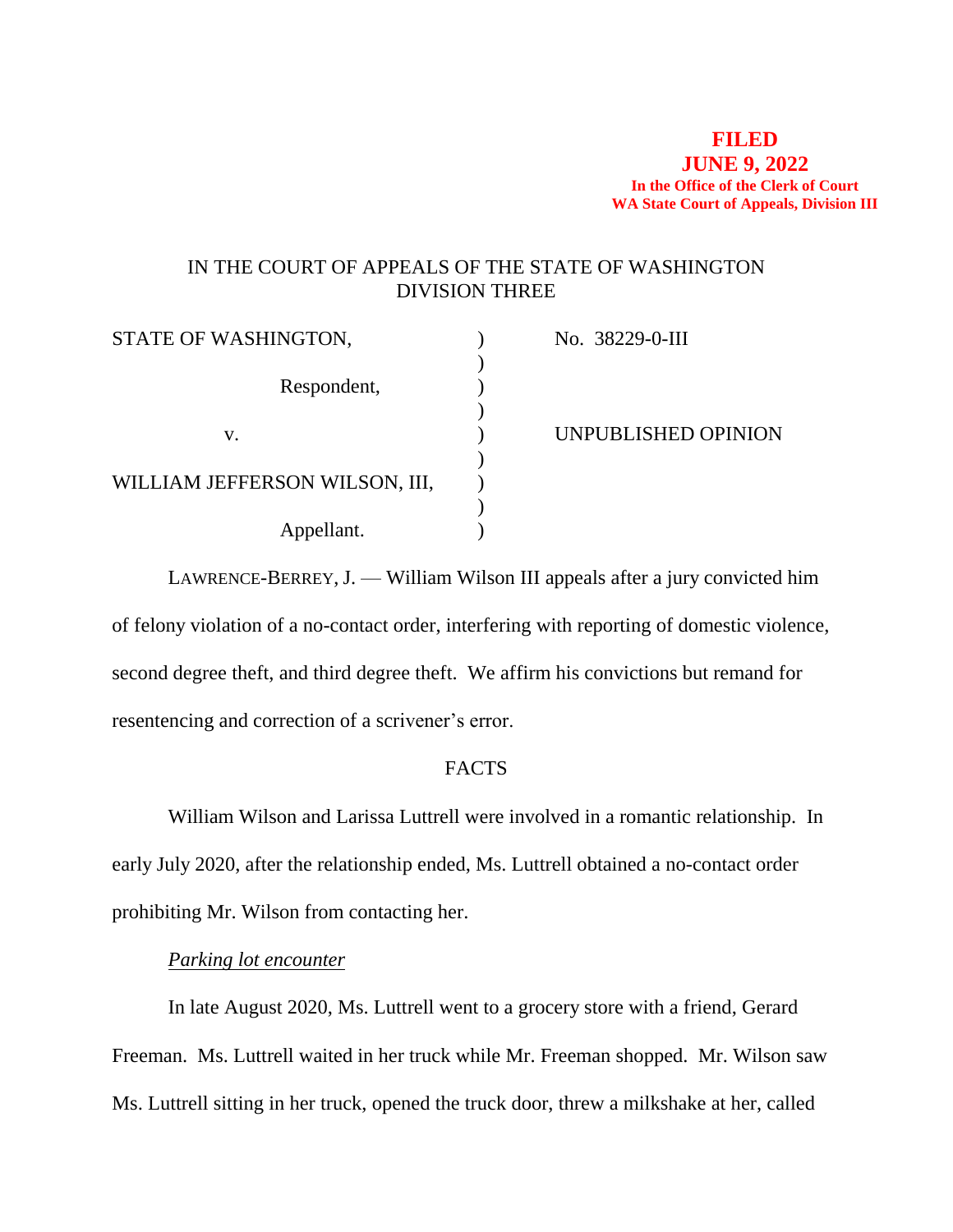### **FILED JUNE 9, 2022 In the Office of the Clerk of Court WA State Court of Appeals, Division III**

# IN THE COURT OF APPEALS OF THE STATE OF WASHINGTON DIVISION THREE

| STATE OF WASHINGTON,           | No. 38229-0-III     |
|--------------------------------|---------------------|
|                                |                     |
| Respondent,                    |                     |
|                                |                     |
| V.                             | UNPUBLISHED OPINION |
|                                |                     |
| WILLIAM JEFFERSON WILSON, III, |                     |
|                                |                     |
| Appellant.                     |                     |

LAWRENCE-BERREY, J. — William Wilson III appeals after a jury convicted him of felony violation of a no-contact order, interfering with reporting of domestic violence, second degree theft, and third degree theft. We affirm his convictions but remand for resentencing and correction of a scrivener's error.

# FACTS

William Wilson and Larissa Luttrell were involved in a romantic relationship. In early July 2020, after the relationship ended, Ms. Luttrell obtained a no-contact order prohibiting Mr. Wilson from contacting her.

# *Parking lot encounter*

In late August 2020, Ms. Luttrell went to a grocery store with a friend, Gerard Freeman. Ms. Luttrell waited in her truck while Mr. Freeman shopped. Mr. Wilson saw Ms. Luttrell sitting in her truck, opened the truck door, threw a milkshake at her, called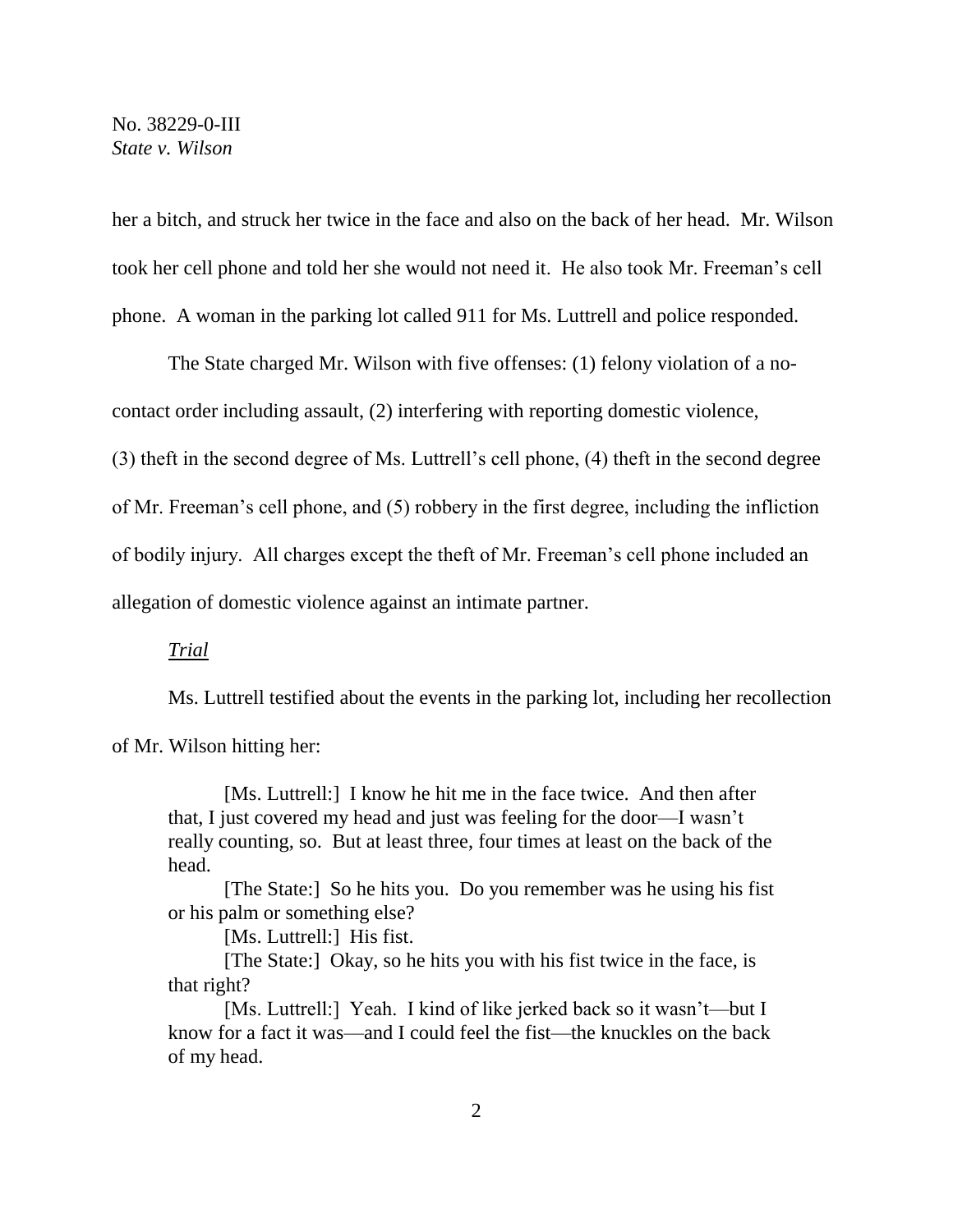her a bitch, and struck her twice in the face and also on the back of her head. Mr. Wilson took her cell phone and told her she would not need it. He also took Mr. Freeman's cell phone. A woman in the parking lot called 911 for Ms. Luttrell and police responded.

The State charged Mr. Wilson with five offenses: (1) felony violation of a nocontact order including assault, (2) interfering with reporting domestic violence, (3) theft in the second degree of Ms. Luttrell's cell phone, (4) theft in the second degree of Mr. Freeman's cell phone, and (5) robbery in the first degree, including the infliction of bodily injury. All charges except the theft of Mr. Freeman's cell phone included an allegation of domestic violence against an intimate partner.

*Trial*

Ms. Luttrell testified about the events in the parking lot, including her recollection

of Mr. Wilson hitting her:

[Ms. Luttrell:] I know he hit me in the face twice. And then after that, I just covered my head and just was feeling for the door—I wasn't really counting, so. But at least three, four times at least on the back of the head.

[The State:] So he hits you. Do you remember was he using his fist or his palm or something else?

[Ms. Luttrell:] His fist.

[The State:] Okay, so he hits you with his fist twice in the face, is that right?

[Ms. Luttrell:] Yeah. I kind of like jerked back so it wasn't—but I know for a fact it was—and I could feel the fist—the knuckles on the back of my head.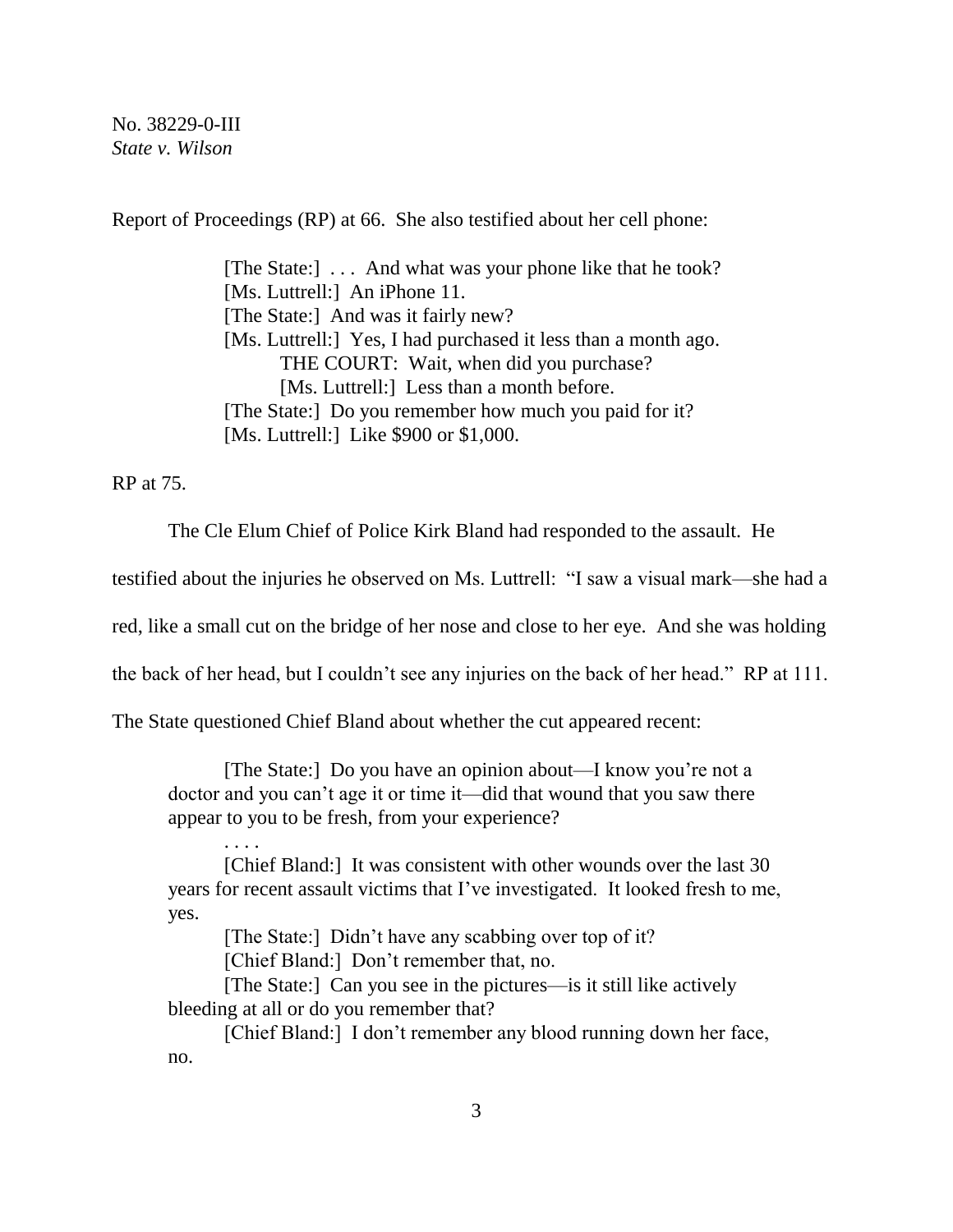Report of Proceedings (RP) at 66. She also testified about her cell phone:

[The State:] . . . And what was your phone like that he took? [Ms. Luttrell:] An iPhone 11. [The State:] And was it fairly new? [Ms. Luttrell:] Yes, I had purchased it less than a month ago. THE COURT: Wait, when did you purchase? [Ms. Luttrell:] Less than a month before. [The State:] Do you remember how much you paid for it? [Ms. Luttrell:] Like \$900 or \$1,000.

RP at 75.

. . . .

The Cle Elum Chief of Police Kirk Bland had responded to the assault. He

testified about the injuries he observed on Ms. Luttrell: "I saw a visual mark—she had a

red, like a small cut on the bridge of her nose and close to her eye. And she was holding

the back of her head, but I couldn't see any injuries on the back of her head." RP at 111.

The State questioned Chief Bland about whether the cut appeared recent:

[The State:] Do you have an opinion about—I know you're not a doctor and you can't age it or time it—did that wound that you saw there appear to you to be fresh, from your experience?

[Chief Bland:] It was consistent with other wounds over the last 30 years for recent assault victims that I've investigated. It looked fresh to me, yes.

[The State:] Didn't have any scabbing over top of it?

[Chief Bland:] Don't remember that, no.

[The State:] Can you see in the pictures—is it still like actively bleeding at all or do you remember that?

[Chief Bland:] I don't remember any blood running down her face, no.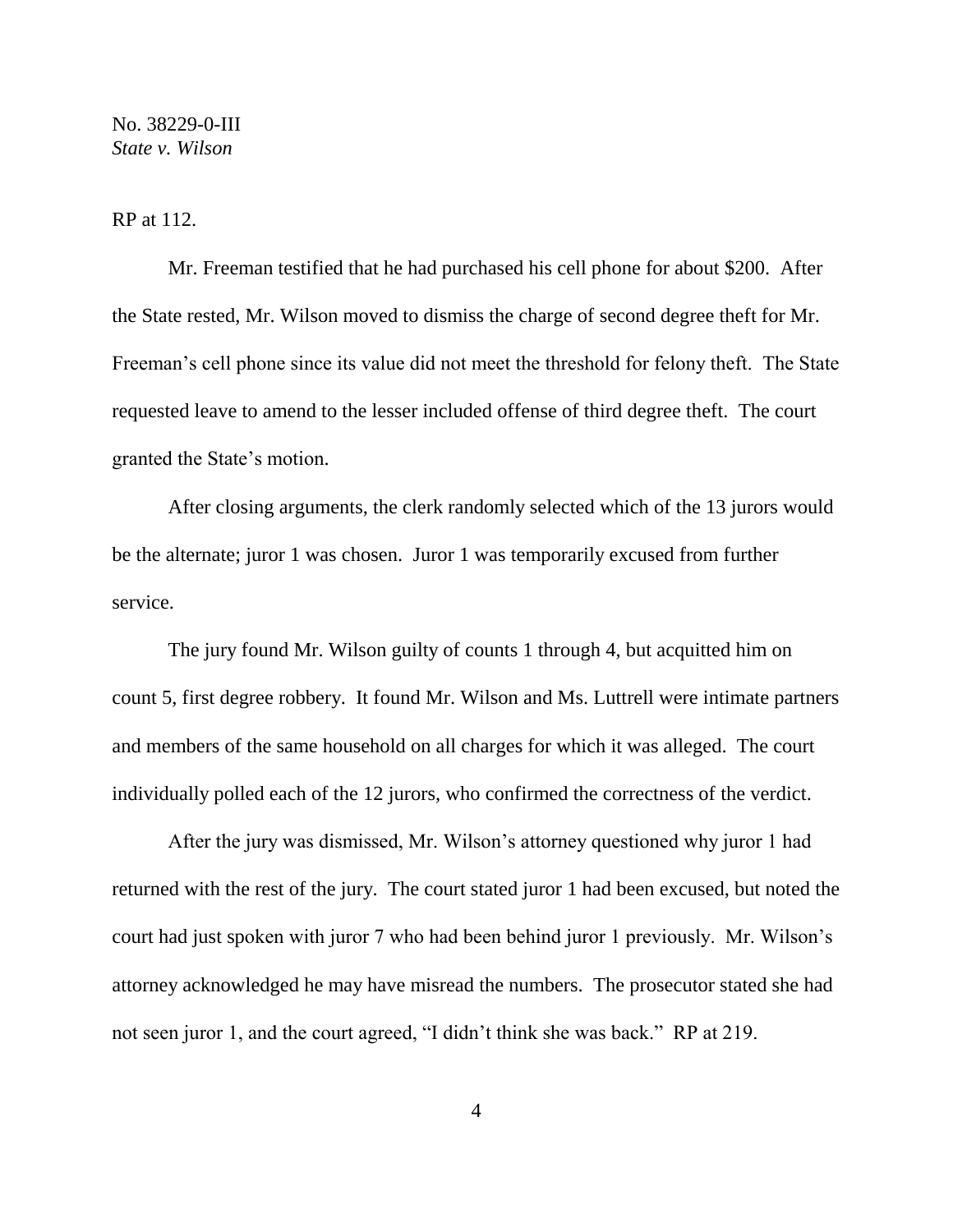RP at 112.

Mr. Freeman testified that he had purchased his cell phone for about \$200. After the State rested, Mr. Wilson moved to dismiss the charge of second degree theft for Mr. Freeman's cell phone since its value did not meet the threshold for felony theft. The State requested leave to amend to the lesser included offense of third degree theft. The court granted the State's motion.

After closing arguments, the clerk randomly selected which of the 13 jurors would be the alternate; juror 1 was chosen. Juror 1 was temporarily excused from further service.

The jury found Mr. Wilson guilty of counts 1 through 4, but acquitted him on count 5, first degree robbery. It found Mr. Wilson and Ms. Luttrell were intimate partners and members of the same household on all charges for which it was alleged. The court individually polled each of the 12 jurors, who confirmed the correctness of the verdict.

After the jury was dismissed, Mr. Wilson's attorney questioned why juror 1 had returned with the rest of the jury. The court stated juror 1 had been excused, but noted the court had just spoken with juror 7 who had been behind juror 1 previously. Mr. Wilson's attorney acknowledged he may have misread the numbers. The prosecutor stated she had not seen juror 1, and the court agreed, "I didn't think she was back." RP at 219.

4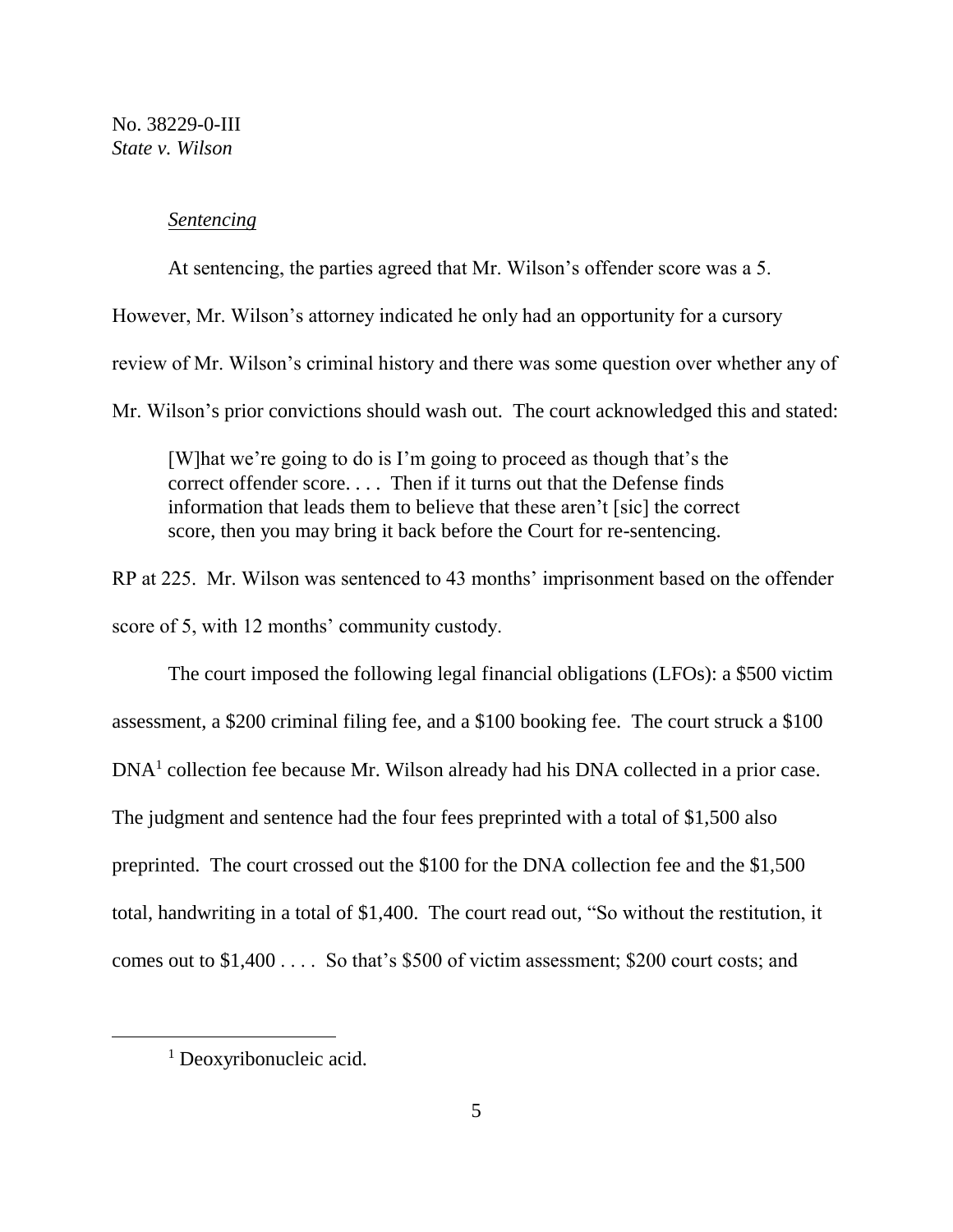### *Sentencing*

At sentencing, the parties agreed that Mr. Wilson's offender score was a 5.

However, Mr. Wilson's attorney indicated he only had an opportunity for a cursory review of Mr. Wilson's criminal history and there was some question over whether any of Mr. Wilson's prior convictions should wash out. The court acknowledged this and stated:

[W]hat we're going to do is I'm going to proceed as though that's the correct offender score. . . . Then if it turns out that the Defense finds information that leads them to believe that these aren't [sic] the correct score, then you may bring it back before the Court for re-sentencing.

RP at 225. Mr. Wilson was sentenced to 43 months' imprisonment based on the offender score of 5, with 12 months' community custody.

The court imposed the following legal financial obligations (LFOs): a \$500 victim assessment, a \$200 criminal filing fee, and a \$100 booking fee. The court struck a \$100 DNA<sup>1</sup> collection fee because Mr. Wilson already had his DNA collected in a prior case. The judgment and sentence had the four fees preprinted with a total of \$1,500 also preprinted. The court crossed out the \$100 for the DNA collection fee and the \$1,500 total, handwriting in a total of \$1,400. The court read out, "So without the restitution, it comes out to \$1,400 . . . . So that's \$500 of victim assessment; \$200 court costs; and

a<br>B

<sup>&</sup>lt;sup>1</sup> Deoxyribonucleic acid.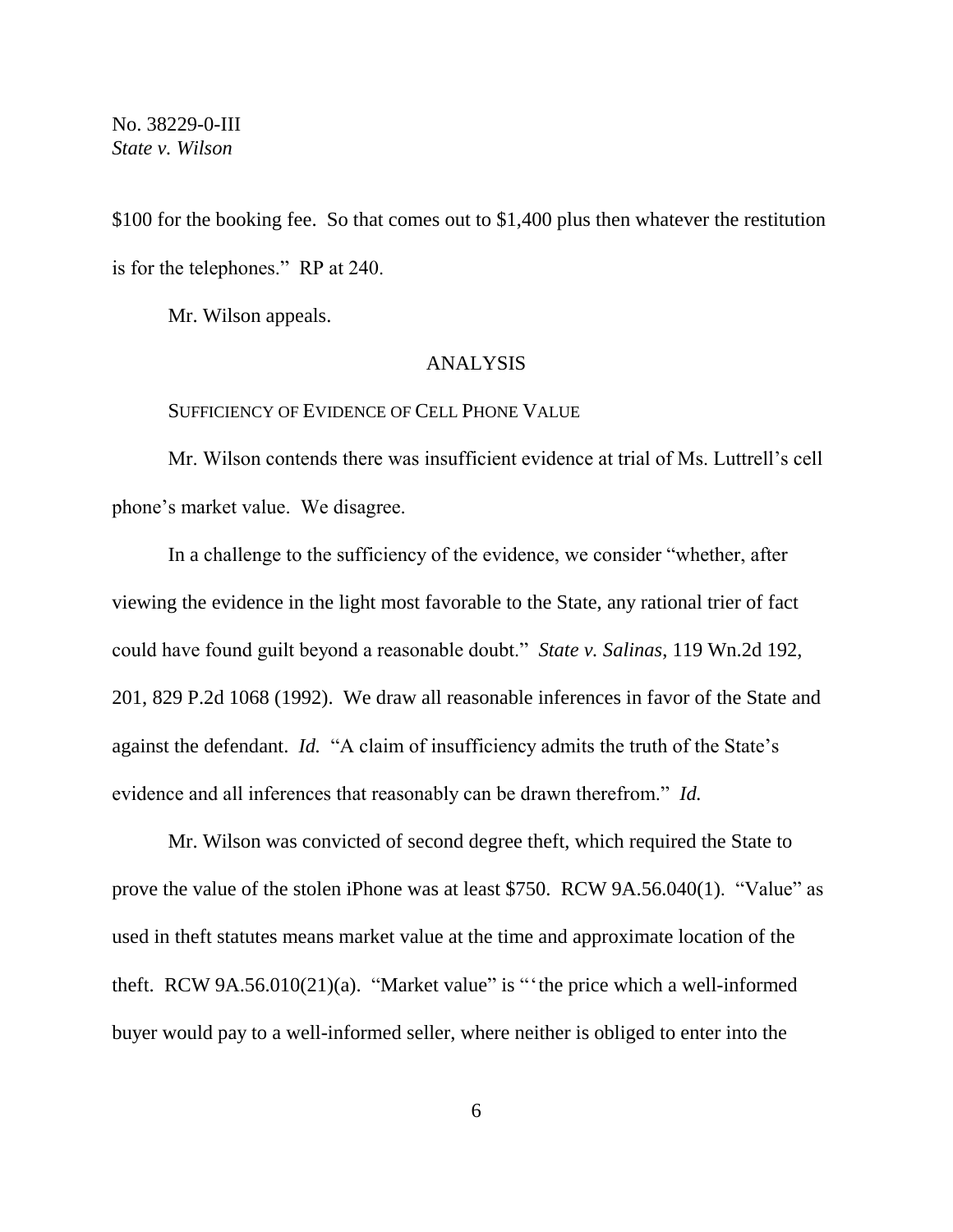\$100 for the booking fee. So that comes out to \$1,400 plus then whatever the restitution is for the telephones." RP at 240.

Mr. Wilson appeals.

### ANALYSIS

#### SUFFICIENCY OF EVIDENCE OF CELL PHONE VALUE

Mr. Wilson contends there was insufficient evidence at trial of Ms. Luttrell's cell phone's market value. We disagree.

In a challenge to the sufficiency of the evidence, we consider "whether, after viewing the evidence in the light most favorable to the State, any rational trier of fact could have found guilt beyond a reasonable doubt." *State v. Salinas*, 119 Wn.2d 192, 201, 829 P.2d 1068 (1992). We draw all reasonable inferences in favor of the State and against the defendant. *Id.* "A claim of insufficiency admits the truth of the State's evidence and all inferences that reasonably can be drawn therefrom." *Id.*

Mr. Wilson was convicted of second degree theft, which required the State to prove the value of the stolen iPhone was at least \$750. RCW 9A.56.040(1). "Value" as used in theft statutes means market value at the time and approximate location of the theft. RCW 9A.56.010(21)(a). "Market value" is "'the price which a well-informed buyer would pay to a well-informed seller, where neither is obliged to enter into the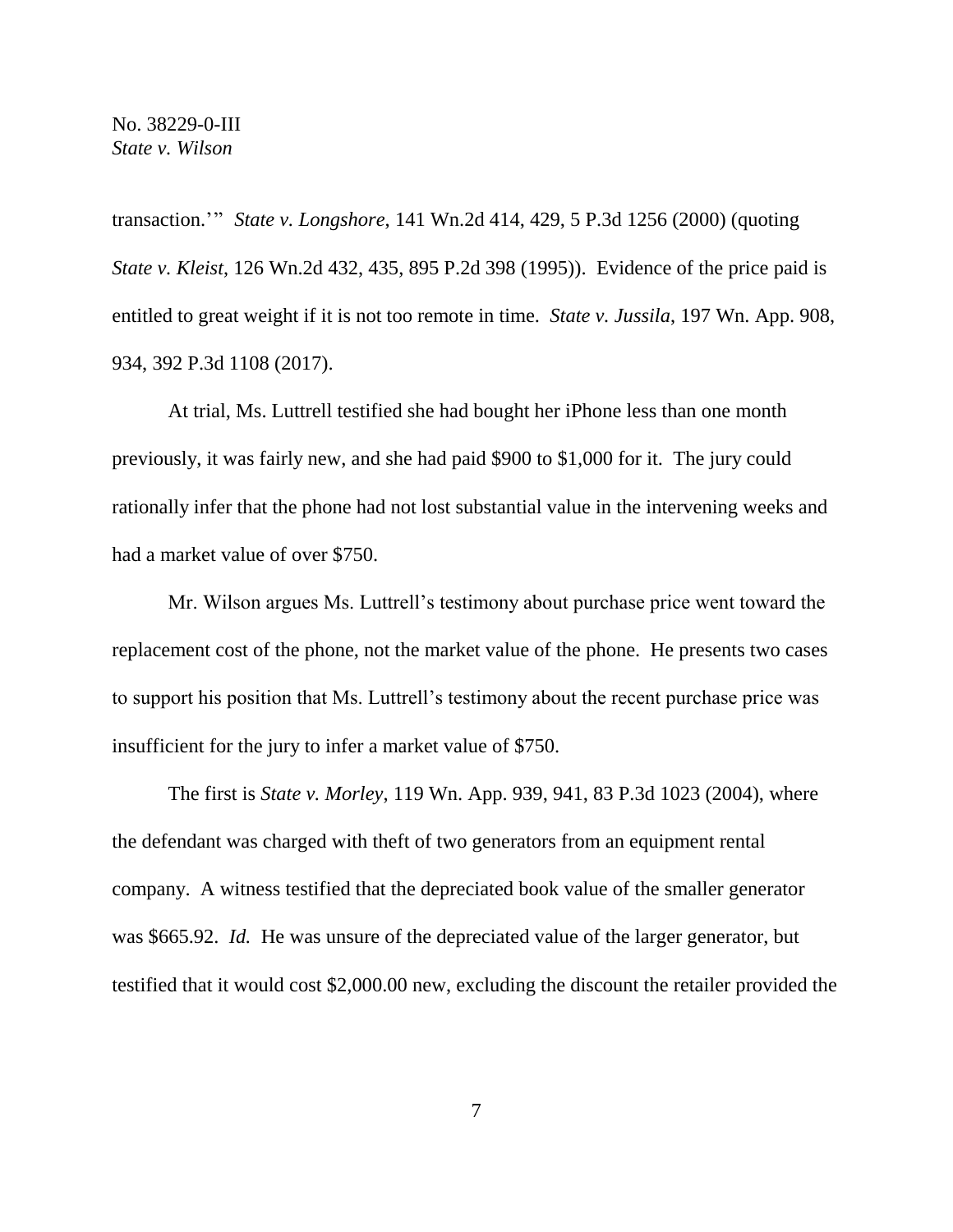transaction.'" *State v. Longshore*, 141 Wn.2d 414, 429, 5 P.3d 1256 (2000) (quoting *State v. Kleist*, 126 Wn.2d 432, 435, 895 P.2d 398 (1995)). Evidence of the price paid is entitled to great weight if it is not too remote in time. *State v. Jussila*, 197 Wn. App. 908, 934, 392 P.3d 1108 (2017).

At trial, Ms. Luttrell testified she had bought her iPhone less than one month previously, it was fairly new, and she had paid \$900 to \$1,000 for it. The jury could rationally infer that the phone had not lost substantial value in the intervening weeks and had a market value of over \$750.

Mr. Wilson argues Ms. Luttrell's testimony about purchase price went toward the replacement cost of the phone, not the market value of the phone. He presents two cases to support his position that Ms. Luttrell's testimony about the recent purchase price was insufficient for the jury to infer a market value of \$750.

The first is *State v. Morley*, 119 Wn. App. 939, 941, 83 P.3d 1023 (2004), where the defendant was charged with theft of two generators from an equipment rental company. A witness testified that the depreciated book value of the smaller generator was \$665.92. *Id.* He was unsure of the depreciated value of the larger generator, but testified that it would cost \$2,000.00 new, excluding the discount the retailer provided the

7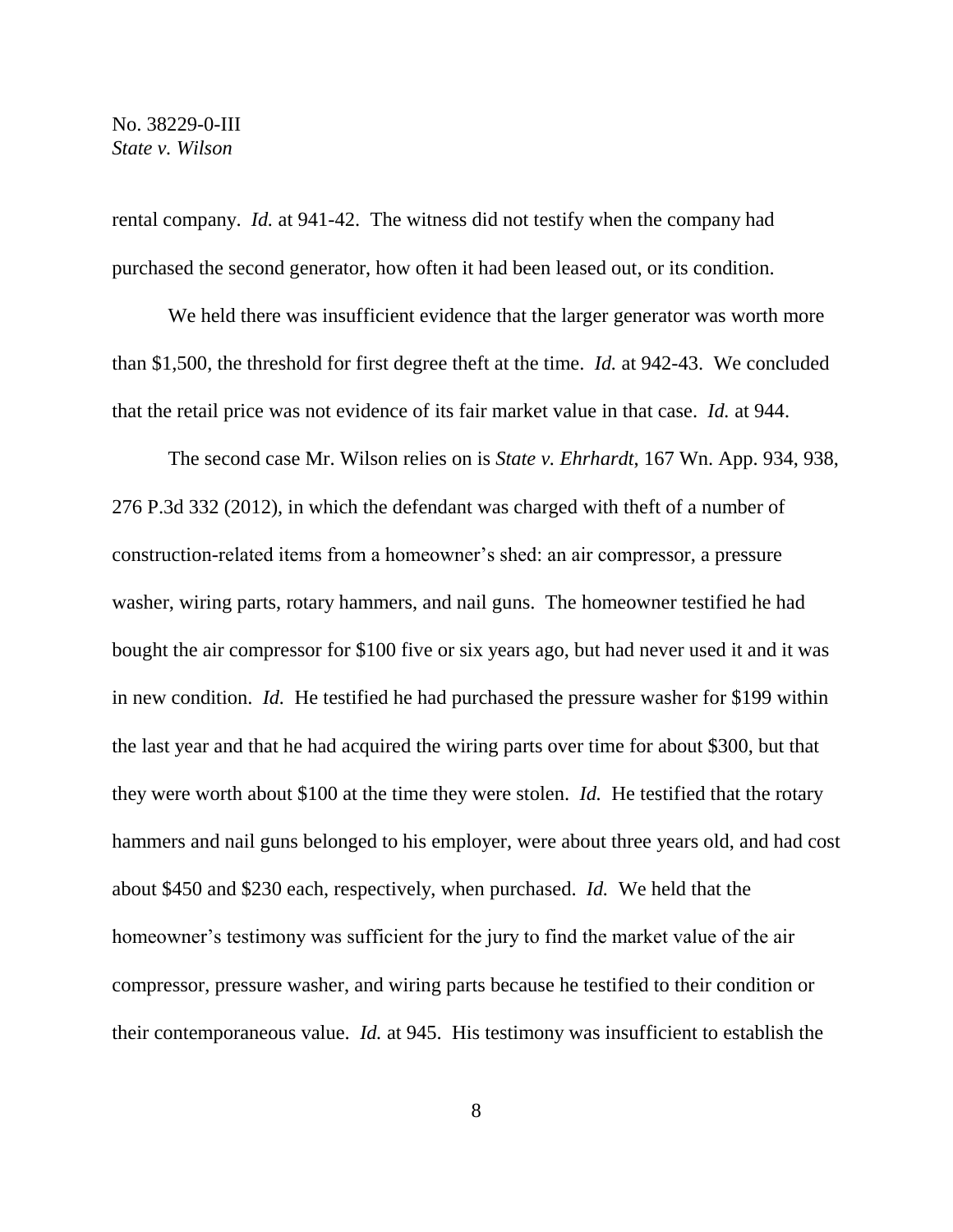rental company. *Id.* at 941-42. The witness did not testify when the company had purchased the second generator, how often it had been leased out, or its condition.

We held there was insufficient evidence that the larger generator was worth more than \$1,500, the threshold for first degree theft at the time. *Id.* at 942-43. We concluded that the retail price was not evidence of its fair market value in that case. *Id.* at 944.

The second case Mr. Wilson relies on is *State v. Ehrhardt*, 167 Wn. App. 934, 938, 276 P.3d 332 (2012), in which the defendant was charged with theft of a number of construction-related items from a homeowner's shed: an air compressor, a pressure washer, wiring parts, rotary hammers, and nail guns. The homeowner testified he had bought the air compressor for \$100 five or six years ago, but had never used it and it was in new condition. *Id.* He testified he had purchased the pressure washer for \$199 within the last year and that he had acquired the wiring parts over time for about \$300, but that they were worth about \$100 at the time they were stolen. *Id.* He testified that the rotary hammers and nail guns belonged to his employer, were about three years old, and had cost about \$450 and \$230 each, respectively, when purchased. *Id.* We held that the homeowner's testimony was sufficient for the jury to find the market value of the air compressor, pressure washer, and wiring parts because he testified to their condition or their contemporaneous value. *Id.* at 945. His testimony was insufficient to establish the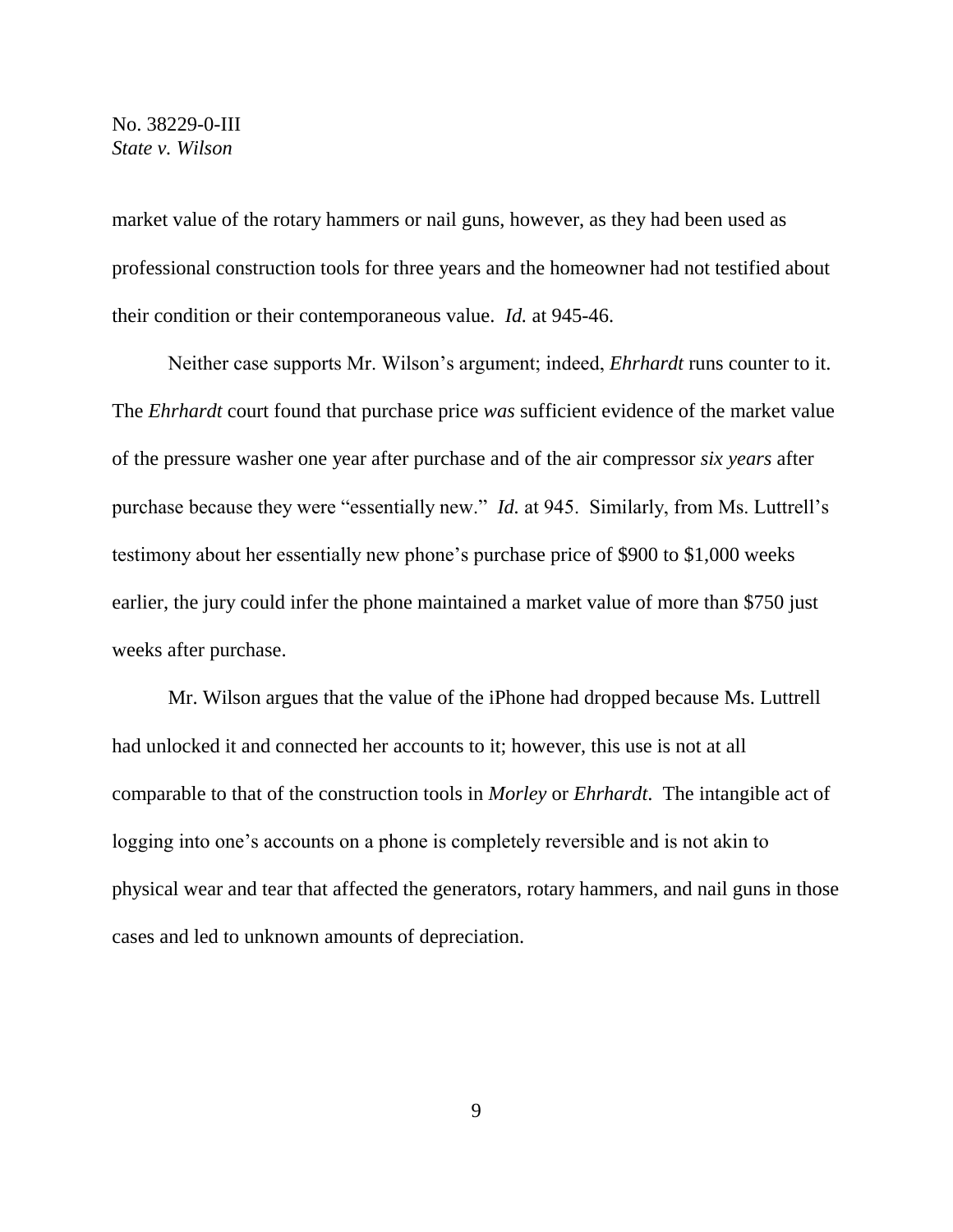market value of the rotary hammers or nail guns, however, as they had been used as professional construction tools for three years and the homeowner had not testified about their condition or their contemporaneous value. *Id.* at 945-46.

Neither case supports Mr. Wilson's argument; indeed, *Ehrhardt* runs counter to it. The *Ehrhardt* court found that purchase price *was* sufficient evidence of the market value of the pressure washer one year after purchase and of the air compressor *six years* after purchase because they were "essentially new." *Id.* at 945. Similarly, from Ms. Luttrell's testimony about her essentially new phone's purchase price of \$900 to \$1,000 weeks earlier, the jury could infer the phone maintained a market value of more than \$750 just weeks after purchase.

Mr. Wilson argues that the value of the iPhone had dropped because Ms. Luttrell had unlocked it and connected her accounts to it; however, this use is not at all comparable to that of the construction tools in *Morley* or *Ehrhardt*. The intangible act of logging into one's accounts on a phone is completely reversible and is not akin to physical wear and tear that affected the generators, rotary hammers, and nail guns in those cases and led to unknown amounts of depreciation.

9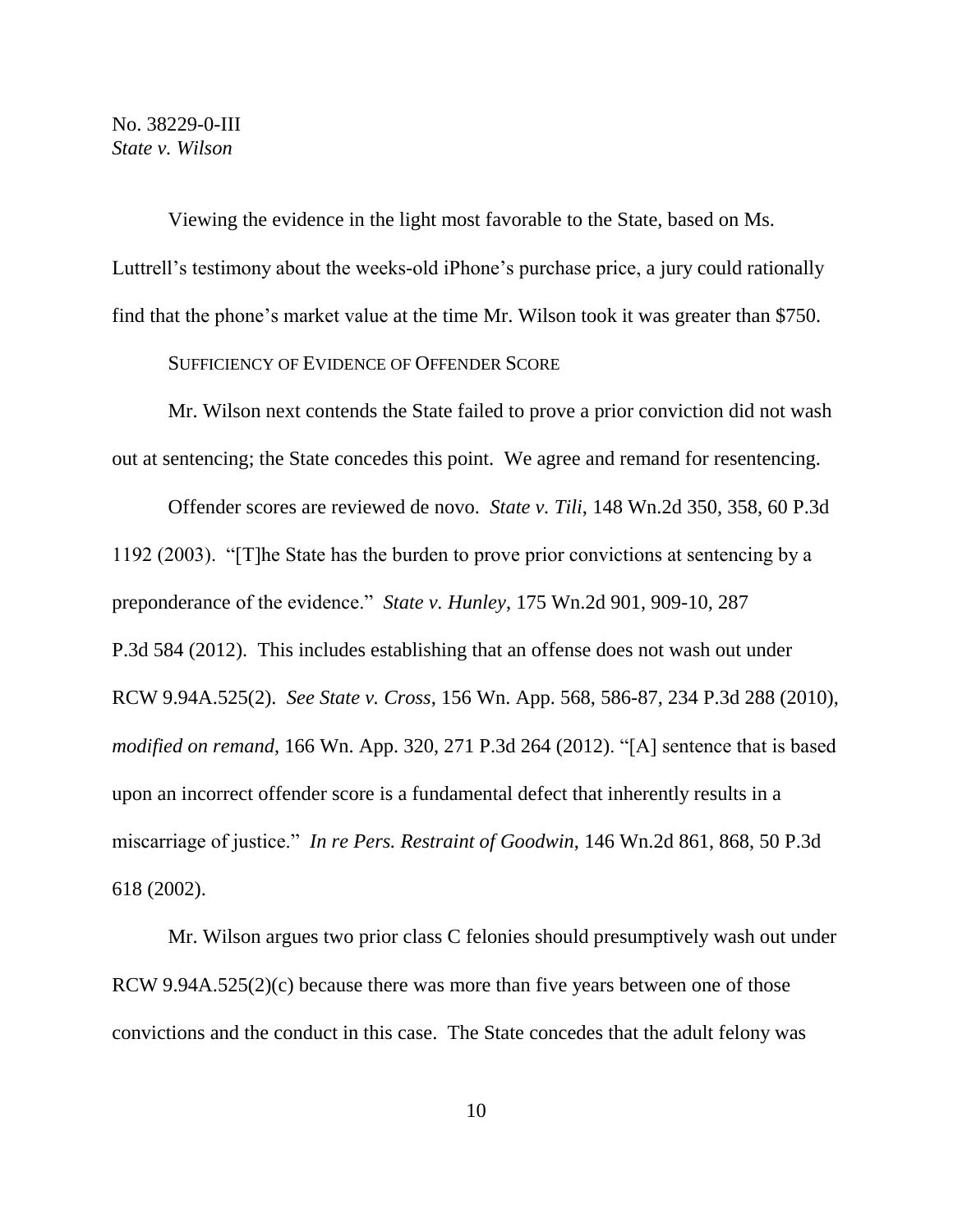Viewing the evidence in the light most favorable to the State, based on Ms. Luttrell's testimony about the weeks-old iPhone's purchase price, a jury could rationally find that the phone's market value at the time Mr. Wilson took it was greater than \$750.

### SUFFICIENCY OF EVIDENCE OF OFFENDER SCORE

Mr. Wilson next contends the State failed to prove a prior conviction did not wash out at sentencing; the State concedes this point. We agree and remand for resentencing.

Offender scores are reviewed de novo. *State v. Tili*, 148 Wn.2d 350, 358, 60 P.3d 1192 (2003). "[T]he State has the burden to prove prior convictions at sentencing by a preponderance of the evidence." *State v. Hunley*, 175 Wn.2d 901, 909-10, 287 P.3d 584 (2012). This includes establishing that an offense does not wash out under RCW 9.94A.525(2). *See State v. Cross*, 156 Wn. App. 568, 586-87, 234 P.3d 288 (2010), *modified on remand*, 166 Wn. App. 320, 271 P.3d 264 (2012). "[A] sentence that is based upon an incorrect offender score is a fundamental defect that inherently results in a miscarriage of justice." *In re Pers. Restraint of Goodwin*, 146 Wn.2d 861, 868, 50 P.3d 618 (2002).

Mr. Wilson argues two prior class C felonies should presumptively wash out under RCW 9.94A.525(2)(c) because there was more than five years between one of those convictions and the conduct in this case. The State concedes that the adult felony was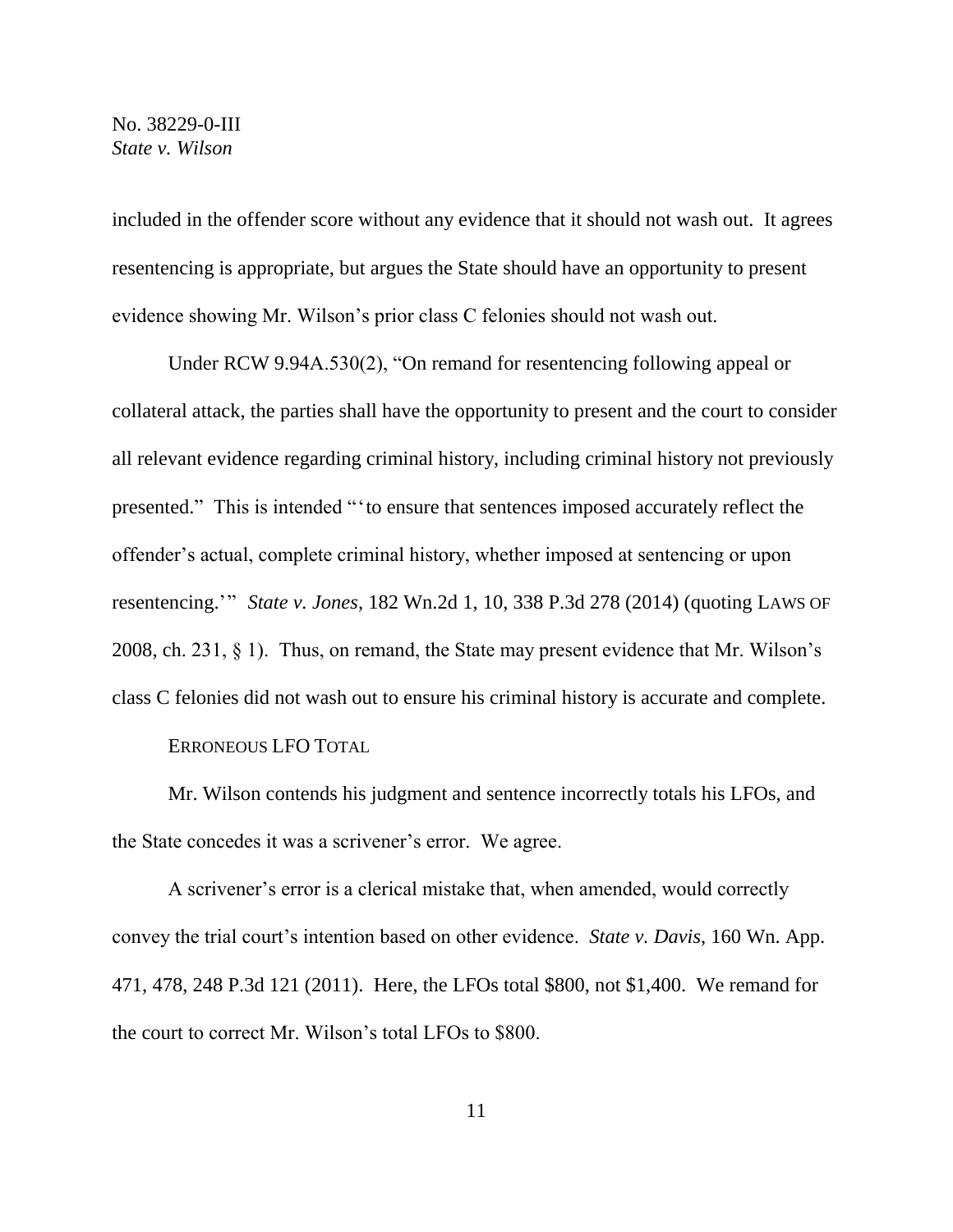included in the offender score without any evidence that it should not wash out. It agrees resentencing is appropriate, but argues the State should have an opportunity to present evidence showing Mr. Wilson's prior class C felonies should not wash out.

Under RCW 9.94A.530(2), "On remand for resentencing following appeal or collateral attack, the parties shall have the opportunity to present and the court to consider all relevant evidence regarding criminal history, including criminal history not previously presented." This is intended "'to ensure that sentences imposed accurately reflect the offender's actual, complete criminal history, whether imposed at sentencing or upon resentencing.'" *State v. Jones*, 182 Wn.2d 1, 10, 338 P.3d 278 (2014) (quoting LAWS OF 2008, ch. 231, § 1). Thus, on remand, the State may present evidence that Mr. Wilson's class C felonies did not wash out to ensure his criminal history is accurate and complete.

ERRONEOUS LFO TOTAL

Mr. Wilson contends his judgment and sentence incorrectly totals his LFOs, and the State concedes it was a scrivener's error. We agree.

A scrivener's error is a clerical mistake that, when amended, would correctly convey the trial court's intention based on other evidence. *State v. Davis*, 160 Wn. App. 471, 478, 248 P.3d 121 (2011). Here, the LFOs total \$800, not \$1,400. We remand for the court to correct Mr. Wilson's total LFOs to \$800.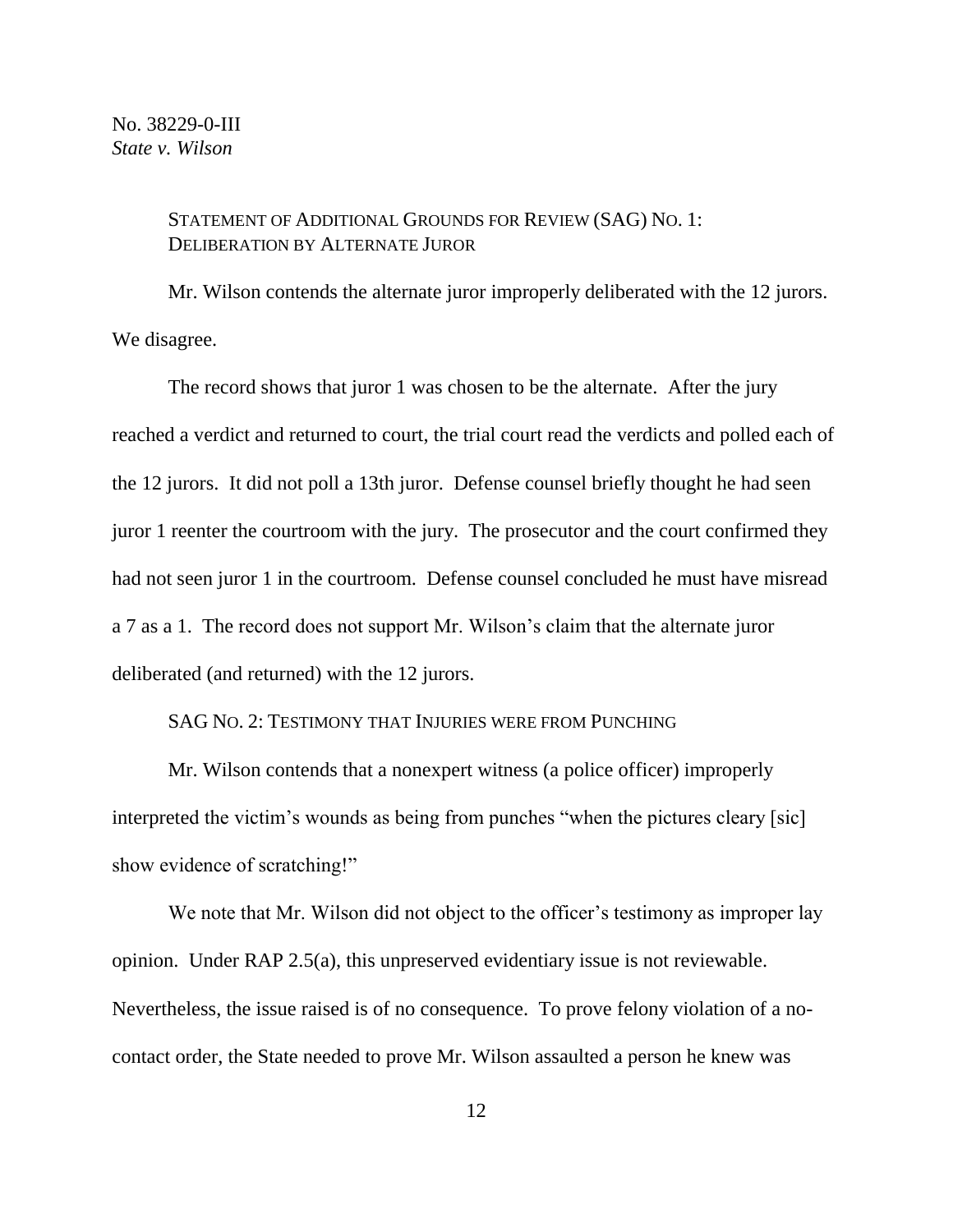### STATEMENT OF ADDITIONAL GROUNDS FOR REVIEW (SAG) NO. 1: DELIBERATION BY ALTERNATE JUROR

Mr. Wilson contends the alternate juror improperly deliberated with the 12 jurors. We disagree.

The record shows that juror 1 was chosen to be the alternate. After the jury reached a verdict and returned to court, the trial court read the verdicts and polled each of the 12 jurors. It did not poll a 13th juror. Defense counsel briefly thought he had seen juror 1 reenter the courtroom with the jury. The prosecutor and the court confirmed they had not seen juror 1 in the courtroom. Defense counsel concluded he must have misread a 7 as a 1. The record does not support Mr. Wilson's claim that the alternate juror deliberated (and returned) with the 12 jurors.

# SAG NO. 2: TESTIMONY THAT INJURIES WERE FROM PUNCHING

Mr. Wilson contends that a nonexpert witness (a police officer) improperly interpreted the victim's wounds as being from punches "when the pictures cleary [sic] show evidence of scratching!"

We note that Mr. Wilson did not object to the officer's testimony as improper lay opinion. Under RAP 2.5(a), this unpreserved evidentiary issue is not reviewable. Nevertheless, the issue raised is of no consequence. To prove felony violation of a nocontact order, the State needed to prove Mr. Wilson assaulted a person he knew was